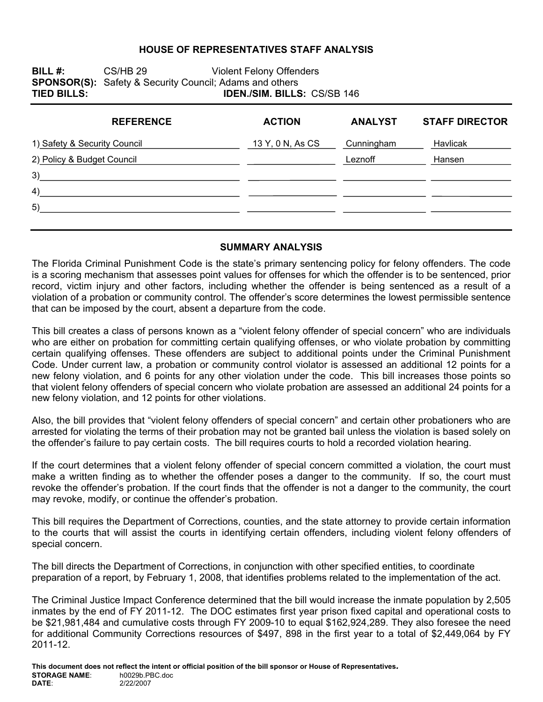#### **HOUSE OF REPRESENTATIVES STAFF ANALYSIS**

**BILL #:** CS/HB 29 Violent Felony Offenders **SPONSOR(S):** Safety & Security Council; Adams and others<br>**TIED BILLS: IDEN./SIM. BILLS IDEN./SIM. BILLS: CS/SB 146** 

| <b>REFERENCE</b>             | <b>ACTION</b>    | <b>ANALYST</b> | <b>STAFF DIRECTOR</b> |
|------------------------------|------------------|----------------|-----------------------|
| 1) Safety & Security Council | 13 Y, 0 N, As CS | Cunningham     | Havlicak              |
| 2) Policy & Budget Council   |                  | Leznoff        | Hansen                |
| 3)                           |                  |                |                       |
| 4)                           |                  |                |                       |
| 5)                           |                  |                |                       |
|                              |                  |                |                       |

#### **SUMMARY ANALYSIS**

The Florida Criminal Punishment Code is the state's primary sentencing policy for felony offenders. The code is a scoring mechanism that assesses point values for offenses for which the offender is to be sentenced, prior record, victim injury and other factors, including whether the offender is being sentenced as a result of a violation of a probation or community control. The offender's score determines the lowest permissible sentence that can be imposed by the court, absent a departure from the code.

This bill creates a class of persons known as a "violent felony offender of special concern" who are individuals who are either on probation for committing certain qualifying offenses, or who violate probation by committing certain qualifying offenses. These offenders are subject to additional points under the Criminal Punishment Code. Under current law, a probation or community control violator is assessed an additional 12 points for a new felony violation, and 6 points for any other violation under the code. This bill increases those points so that violent felony offenders of special concern who violate probation are assessed an additional 24 points for a new felony violation, and 12 points for other violations.

Also, the bill provides that "violent felony offenders of special concern" and certain other probationers who are arrested for violating the terms of their probation may not be granted bail unless the violation is based solely on the offender's failure to pay certain costs. The bill requires courts to hold a recorded violation hearing.

If the court determines that a violent felony offender of special concern committed a violation, the court must make a written finding as to whether the offender poses a danger to the community. If so, the court must revoke the offender's probation. If the court finds that the offender is not a danger to the community, the court may revoke, modify, or continue the offender's probation.

This bill requires the Department of Corrections, counties, and the state attorney to provide certain information to the courts that will assist the courts in identifying certain offenders, including violent felony offenders of special concern.

The bill directs the Department of Corrections, in conjunction with other specified entities, to coordinate preparation of a report, by February 1, 2008, that identifies problems related to the implementation of the act.

The Criminal Justice Impact Conference determined that the bill would increase the inmate population by 2,505 inmates by the end of FY 2011-12. The DOC estimates first year prison fixed capital and operational costs to be \$21,981,484 and cumulative costs through FY 2009-10 to equal \$162,924,289. They also foresee the need for additional Community Corrections resources of \$497, 898 in the first year to a total of \$2,449,064 by FY 2011-12.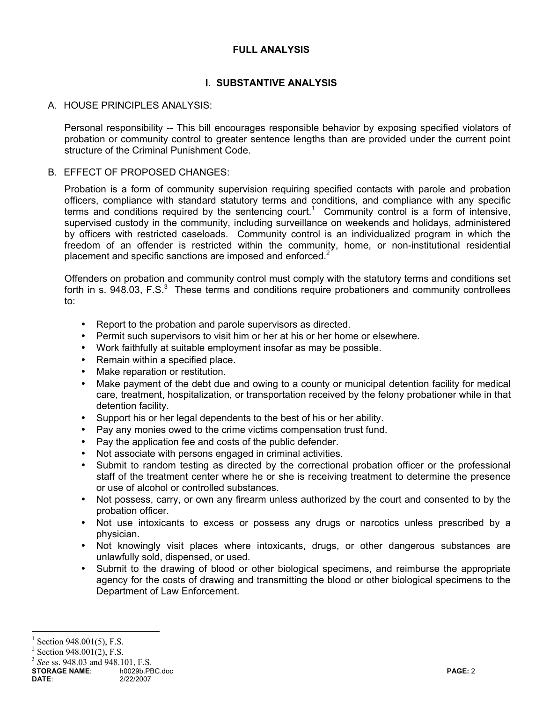## **FULL ANALYSIS**

# **I. SUBSTANTIVE ANALYSIS**

## A. HOUSE PRINCIPLES ANALYSIS:

Personal responsibility -- This bill encourages responsible behavior by exposing specified violators of probation or community control to greater sentence lengths than are provided under the current point structure of the Criminal Punishment Code.

#### B. EFFECT OF PROPOSED CHANGES:

Probation is a form of community supervision requiring specified contacts with parole and probation officers, compliance with standard statutory terms and conditions, and compliance with any specific terms and conditions required by the sentencing court.<sup>1</sup> Community control is a form of intensive, supervised custody in the community, including surveillance on weekends and holidays, administered by officers with restricted caseloads. Community control is an individualized program in which the freedom of an offender is restricted within the community, home, or non-institutional residential placement and specific sanctions are imposed and enforced.<sup>2</sup>

Offenders on probation and community control must comply with the statutory terms and conditions set forth in s. 948.03, F.S. $3$  These terms and conditions require probationers and community controllees to:

- Report to the probation and parole supervisors as directed.
- Permit such supervisors to visit him or her at his or her home or elsewhere.
- Work faithfully at suitable employment insofar as may be possible.
- Remain within a specified place.
- Make reparation or restitution.
- Make payment of the debt due and owing to a county or municipal detention facility for medical care, treatment, hospitalization, or transportation received by the felony probationer while in that detention facility.
- Support his or her legal dependents to the best of his or her ability.
- Pay any monies owed to the crime victims compensation trust fund.
- Pay the application fee and costs of the public defender.
- Not associate with persons engaged in criminal activities.
- Submit to random testing as directed by the correctional probation officer or the professional staff of the treatment center where he or she is receiving treatment to determine the presence or use of alcohol or controlled substances.
- Not possess, carry, or own any firearm unless authorized by the court and consented to by the probation officer.
- Not use intoxicants to excess or possess any drugs or narcotics unless prescribed by a physician.
- Not knowingly visit places where intoxicants, drugs, or other dangerous substances are unlawfully sold, dispensed, or used.
- Submit to the drawing of blood or other biological specimens, and reimburse the appropriate agency for the costs of drawing and transmitting the blood or other biological specimens to the Department of Law Enforcement.

 $\overline{a}$ 

<sup>1</sup> Section 948.001(5), F.S.

 $2$  Section 948.001(2), F.S.

<sup>3</sup> *See* ss. 948.03 and 948.101, F.S.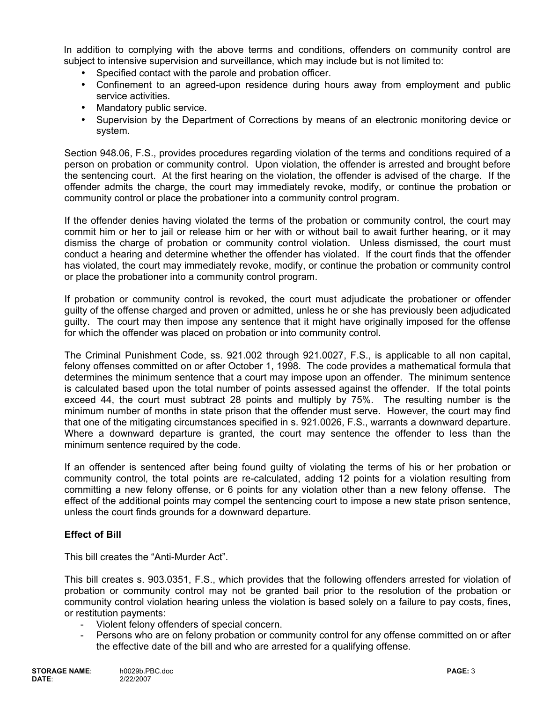In addition to complying with the above terms and conditions, offenders on community control are subject to intensive supervision and surveillance, which may include but is not limited to:

- Specified contact with the parole and probation officer.
- Confinement to an agreed-upon residence during hours away from employment and public service activities.
- Mandatory public service.
- Supervision by the Department of Corrections by means of an electronic monitoring device or system.

Section 948.06, F.S., provides procedures regarding violation of the terms and conditions required of a person on probation or community control. Upon violation, the offender is arrested and brought before the sentencing court. At the first hearing on the violation, the offender is advised of the charge. If the offender admits the charge, the court may immediately revoke, modify, or continue the probation or community control or place the probationer into a community control program.

If the offender denies having violated the terms of the probation or community control, the court may commit him or her to jail or release him or her with or without bail to await further hearing, or it may dismiss the charge of probation or community control violation. Unless dismissed, the court must conduct a hearing and determine whether the offender has violated. If the court finds that the offender has violated, the court may immediately revoke, modify, or continue the probation or community control or place the probationer into a community control program.

If probation or community control is revoked, the court must adjudicate the probationer or offender guilty of the offense charged and proven or admitted, unless he or she has previously been adjudicated guilty. The court may then impose any sentence that it might have originally imposed for the offense for which the offender was placed on probation or into community control.

The Criminal Punishment Code, ss. 921.002 through 921.0027, F.S., is applicable to all non capital, felony offenses committed on or after October 1, 1998. The code provides a mathematical formula that determines the minimum sentence that a court may impose upon an offender. The minimum sentence is calculated based upon the total number of points assessed against the offender. If the total points exceed 44, the court must subtract 28 points and multiply by 75%. The resulting number is the minimum number of months in state prison that the offender must serve. However, the court may find that one of the mitigating circumstances specified in s. 921.0026, F.S., warrants a downward departure. Where a downward departure is granted, the court may sentence the offender to less than the minimum sentence required by the code.

If an offender is sentenced after being found guilty of violating the terms of his or her probation or community control, the total points are re-calculated, adding 12 points for a violation resulting from committing a new felony offense, or 6 points for any violation other than a new felony offense. The effect of the additional points may compel the sentencing court to impose a new state prison sentence, unless the court finds grounds for a downward departure.

# **Effect of Bill**

This bill creates the "Anti-Murder Act".

This bill creates s. 903.0351, F.S., which provides that the following offenders arrested for violation of probation or community control may not be granted bail prior to the resolution of the probation or community control violation hearing unless the violation is based solely on a failure to pay costs, fines, or restitution payments:

- Violent felony offenders of special concern.
- Persons who are on felony probation or community control for any offense committed on or after the effective date of the bill and who are arrested for a qualifying offense.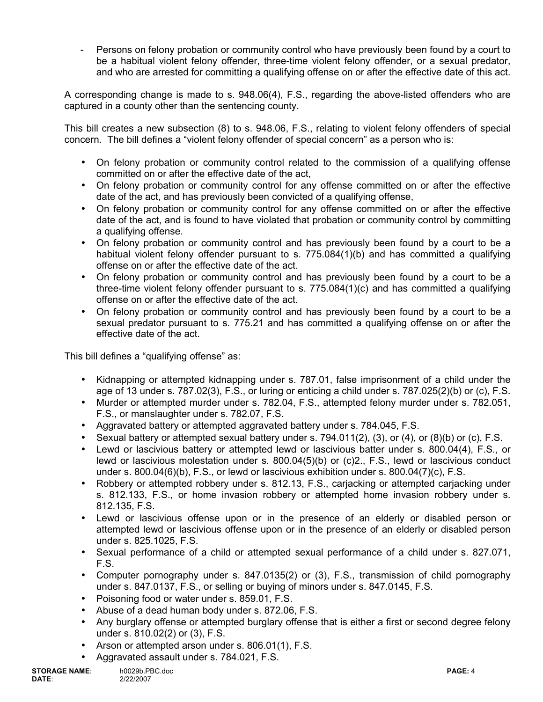Persons on felony probation or community control who have previously been found by a court to be a habitual violent felony offender, three-time violent felony offender, or a sexual predator, and who are arrested for committing a qualifying offense on or after the effective date of this act.

A corresponding change is made to s. 948.06(4), F.S., regarding the above-listed offenders who are captured in a county other than the sentencing county.

This bill creates a new subsection (8) to s. 948.06, F.S., relating to violent felony offenders of special concern. The bill defines a "violent felony offender of special concern" as a person who is:

- On felony probation or community control related to the commission of a qualifying offense committed on or after the effective date of the act,
- On felony probation or community control for any offense committed on or after the effective date of the act, and has previously been convicted of a qualifying offense,
- On felony probation or community control for any offense committed on or after the effective date of the act, and is found to have violated that probation or community control by committing a qualifying offense.
- On felony probation or community control and has previously been found by a court to be a habitual violent felony offender pursuant to s. 775.084(1)(b) and has committed a qualifying offense on or after the effective date of the act.
- On felony probation or community control and has previously been found by a court to be a three-time violent felony offender pursuant to s. 775.084(1)(c) and has committed a qualifying offense on or after the effective date of the act.
- On felony probation or community control and has previously been found by a court to be a sexual predator pursuant to s. 775.21 and has committed a qualifying offense on or after the effective date of the act.

This bill defines a "qualifying offense" as:

- Kidnapping or attempted kidnapping under s. 787.01, false imprisonment of a child under the age of 13 under s. 787.02(3), F.S., or luring or enticing a child under s. 787.025(2)(b) or (c), F.S.
- Murder or attempted murder under s. 782.04, F.S., attempted felony murder under s. 782.051, F.S., or manslaughter under s. 782.07, F.S.
- Aggravated battery or attempted aggravated battery under s. 784.045, F.S.
- Sexual battery or attempted sexual battery under s.  $794.011(2)$ ,  $(3)$ , or  $(4)$ , or  $(8)(b)$  or  $(c)$ , F.S.
- Lewd or lascivious battery or attempted lewd or lascivious batter under s. 800.04(4), F.S., or lewd or lascivious molestation under s. 800.04(5)(b) or (c)2., F.S., lewd or lascivious conduct under s. 800.04(6)(b), F.S., or lewd or lascivious exhibition under s. 800.04(7)(c), F.S.
- Robbery or attempted robbery under s. 812.13, F.S., cariacking or attempted cariacking under s. 812.133, F.S., or home invasion robbery or attempted home invasion robbery under s. 812.135, F.S.
- Lewd or lascivious offense upon or in the presence of an elderly or disabled person or attempted lewd or lascivious offense upon or in the presence of an elderly or disabled person under s. 825.1025, F.S.
- Sexual performance of a child or attempted sexual performance of a child under s. 827.071, F.S.
- Computer pornography under s. 847.0135(2) or (3), F.S., transmission of child pornography under s. 847.0137, F.S., or selling or buying of minors under s. 847.0145, F.S.
- Poisoning food or water under s. 859.01, F.S.
- Abuse of a dead human body under s. 872.06, F.S.
- Any burglary offense or attempted burglary offense that is either a first or second degree felony under s. 810.02(2) or (3), F.S.
- Arson or attempted arson under s. 806.01(1), F.S.
- Aggravated assault under s. 784.021, F.S.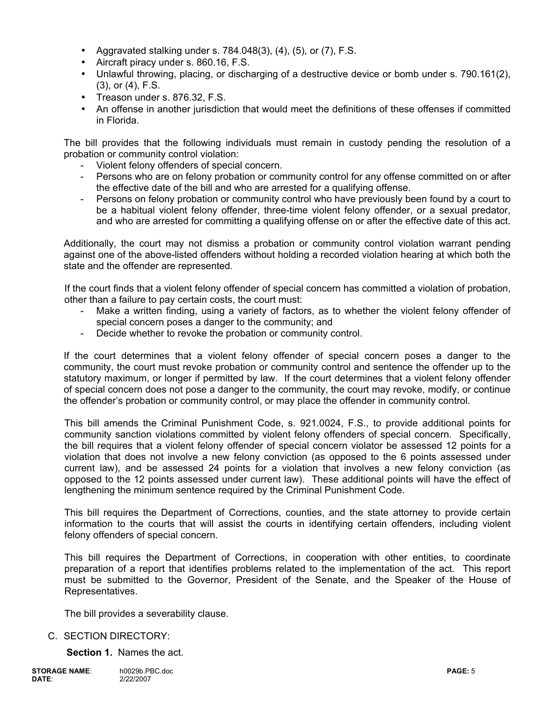- Aggravated stalking under s.  $784.048(3)$ ,  $(4)$ ,  $(5)$ , or  $(7)$ , F.S.
- Aircraft piracy under s. 860.16, F.S.
- Unlawful throwing, placing, or discharging of a destructive device or bomb under s. 790.161(2), (3), or (4), F.S.
- Treason under s. 876.32, F.S.
- An offense in another jurisdiction that would meet the definitions of these offenses if committed in Florida.

The bill provides that the following individuals must remain in custody pending the resolution of a probation or community control violation:

- Violent felony offenders of special concern.
- Persons who are on felony probation or community control for any offense committed on or after the effective date of the bill and who are arrested for a qualifying offense.
- Persons on felony probation or community control who have previously been found by a court to be a habitual violent felony offender, three-time violent felony offender, or a sexual predator, and who are arrested for committing a qualifying offense on or after the effective date of this act.

Additionally, the court may not dismiss a probation or community control violation warrant pending against one of the above-listed offenders without holding a recorded violation hearing at which both the state and the offender are represented.

If the court finds that a violent felony offender of special concern has committed a violation of probation, other than a failure to pay certain costs, the court must:

- Make a written finding, using a variety of factors, as to whether the violent felony offender of special concern poses a danger to the community; and
- Decide whether to revoke the probation or community control.

If the court determines that a violent felony offender of special concern poses a danger to the community, the court must revoke probation or community control and sentence the offender up to the statutory maximum, or longer if permitted by law. If the court determines that a violent felony offender of special concern does not pose a danger to the community, the court may revoke, modify, or continue the offender's probation or community control, or may place the offender in community control.

This bill amends the Criminal Punishment Code, s. 921.0024, F.S., to provide additional points for community sanction violations committed by violent felony offenders of special concern. Specifically, the bill requires that a violent felony offender of special concern violator be assessed 12 points for a violation that does not involve a new felony conviction (as opposed to the 6 points assessed under current law), and be assessed 24 points for a violation that involves a new felony conviction (as opposed to the 12 points assessed under current law). These additional points will have the effect of lengthening the minimum sentence required by the Criminal Punishment Code.

This bill requires the Department of Corrections, counties, and the state attorney to provide certain information to the courts that will assist the courts in identifying certain offenders, including violent felony offenders of special concern.

This bill requires the Department of Corrections, in cooperation with other entities, to coordinate preparation of a report that identifies problems related to the implementation of the act. This report must be submitted to the Governor, President of the Senate, and the Speaker of the House of Representatives.

The bill provides a severability clause.

## C. SECTION DIRECTORY:

**Section 1.** Names the act.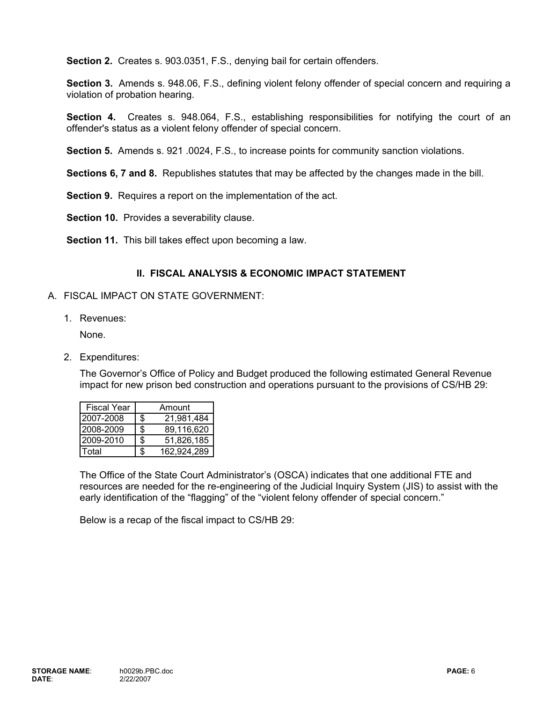**Section 2.** Creates s. 903.0351, F.S., denying bail for certain offenders.

**Section 3.** Amends s. 948.06, F.S., defining violent felony offender of special concern and requiring a violation of probation hearing.

**Section 4.** Creates s. 948.064, F.S., establishing responsibilities for notifying the court of an offender's status as a violent felony offender of special concern.

**Section 5.** Amends s. 921 .0024, F.S., to increase points for community sanction violations.

**Sections 6, 7 and 8.** Republishes statutes that may be affected by the changes made in the bill.

**Section 9.** Requires a report on the implementation of the act.

**Section 10.** Provides a severability clause.

**Section 11.** This bill takes effect upon becoming a law.

### **II. FISCAL ANALYSIS & ECONOMIC IMPACT STATEMENT**

#### A. FISCAL IMPACT ON STATE GOVERNMENT:

1. Revenues:

None.

2. Expenditures:

The Governor's Office of Policy and Budget produced the following estimated General Revenue impact for new prison bed construction and operations pursuant to the provisions of CS/HB 29:

| <b>Fiscal Year</b> |     | Amount      |
|--------------------|-----|-------------|
| 12007-2008         | \$  | 21,981,484  |
| 2008-2009          | \$  | 89,116,620  |
| 2009-2010          | \$. | 51,826,185  |
| otal <sup>-</sup>  |     | 162,924,289 |

The Office of the State Court Administrator's (OSCA) indicates that one additional FTE and resources are needed for the re-engineering of the Judicial Inquiry System (JIS) to assist with the early identification of the "flagging" of the "violent felony offender of special concern."

Below is a recap of the fiscal impact to CS/HB 29: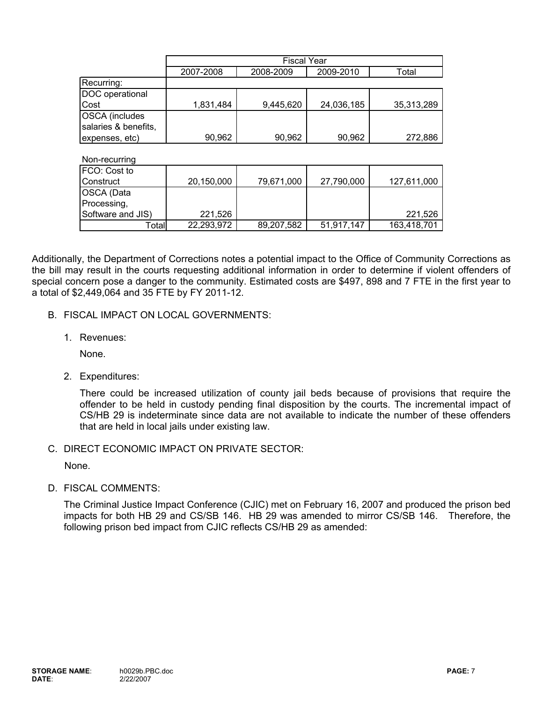|                       | <b>Fiscal Year</b> |            |            |             |
|-----------------------|--------------------|------------|------------|-------------|
|                       | 2007-2008          | 2008-2009  | 2009-2010  | Total       |
| Recurring:            |                    |            |            |             |
| DOC operational       |                    |            |            |             |
| Cost                  | 1,831,484          | 9,445,620  | 24,036,185 | 35,313,289  |
| <b>OSCA</b> (includes |                    |            |            |             |
| salaries & benefits,  |                    |            |            |             |
| expenses, etc)        | 90,962             | 90,962     | 90,962     | 272,886     |
|                       |                    |            |            |             |
| Non-recurring         |                    |            |            |             |
| FCO: Cost to          |                    |            |            |             |
| Construct             | 20,150,000         | 79,671,000 | 27,790,000 | 127,611,000 |
| <b>OSCA (Data</b>     |                    |            |            |             |
| Processing,           |                    |            |            |             |
| Software and JIS)     | 221,526            |            |            | 221,526     |

Additionally, the Department of Corrections notes a potential impact to the Office of Community Corrections as the bill may result in the courts requesting additional information in order to determine if violent offenders of special concern pose a danger to the community. Estimated costs are \$497, 898 and 7 FTE in the first year to a total of \$2,449,064 and 35 FTE by FY 2011-12.

Total 89,207,582 22,293,972 51,917,147 163,418,701

- B. FISCAL IMPACT ON LOCAL GOVERNMENTS:
	- 1. Revenues:

None.

2. Expenditures:

There could be increased utilization of county jail beds because of provisions that require the offender to be held in custody pending final disposition by the courts. The incremental impact of CS/HB 29 is indeterminate since data are not available to indicate the number of these offenders that are held in local jails under existing law.

C. DIRECT ECONOMIC IMPACT ON PRIVATE SECTOR:

None.

D. FISCAL COMMENTS:

The Criminal Justice Impact Conference (CJIC) met on February 16, 2007 and produced the prison bed impacts for both HB 29 and CS/SB 146. HB 29 was amended to mirror CS/SB 146. Therefore, the following prison bed impact from CJIC reflects CS/HB 29 as amended: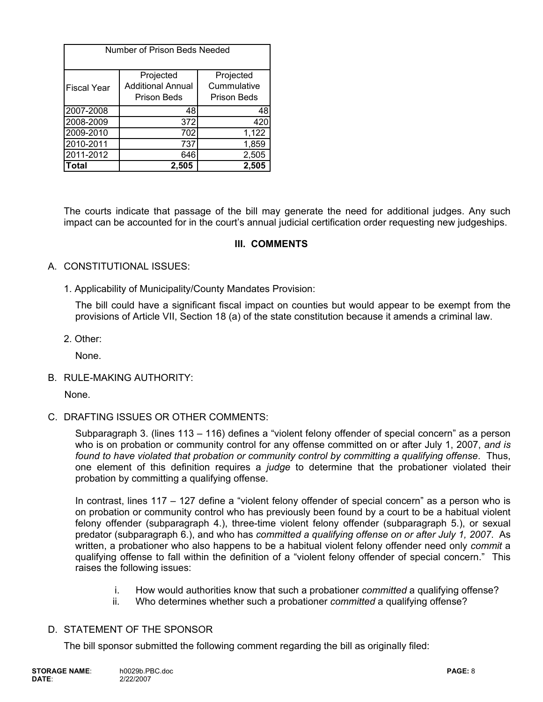| Number of Prison Beds Needed |                                                      |                                                |  |  |
|------------------------------|------------------------------------------------------|------------------------------------------------|--|--|
| <b>Fiscal Year</b>           | Projected<br><b>Additional Annual</b><br>Prison Beds | Projected<br>Cummulative<br><b>Prison Beds</b> |  |  |
| 2007-2008                    | 48                                                   | 48                                             |  |  |
| 2008-2009                    | 372                                                  | 420                                            |  |  |
| 2009-2010                    | 702                                                  | 1,122                                          |  |  |
| 2010-2011                    | 737                                                  | 1,859                                          |  |  |
| 2011-2012                    | 646                                                  | 2,505                                          |  |  |
| Total                        | 2,505                                                | 2,505                                          |  |  |

The courts indicate that passage of the bill may generate the need for additional judges. Any such impact can be accounted for in the court's annual judicial certification order requesting new judgeships.

# **III. COMMENTS**

### A. CONSTITUTIONAL ISSUES:

1. Applicability of Municipality/County Mandates Provision:

The bill could have a significant fiscal impact on counties but would appear to be exempt from the provisions of Article VII, Section 18 (a) of the state constitution because it amends a criminal law.

2. Other:

None.

B. RULE-MAKING AUTHORITY:

None.

C. DRAFTING ISSUES OR OTHER COMMENTS:

Subparagraph 3. (lines 113 – 116) defines a "violent felony offender of special concern" as a person who is on probation or community control for any offense committed on or after July 1, 2007, *and is found to have violated that probation or community control by committing a qualifying offense*. Thus, one element of this definition requires a *judge* to determine that the probationer violated their probation by committing a qualifying offense.

In contrast, lines 117 – 127 define a "violent felony offender of special concern" as a person who is on probation or community control who has previously been found by a court to be a habitual violent felony offender (subparagraph 4.), three-time violent felony offender (subparagraph 5.), or sexual predator (subparagraph 6.), and who has *committed a qualifying offense on or after July 1, 2007*. As written, a probationer who also happens to be a habitual violent felony offender need only *commit* a qualifying offense to fall within the definition of a "violent felony offender of special concern." This raises the following issues:

- i. How would authorities know that such a probationer *committed* a qualifying offense?
- ii. Who determines whether such a probationer *committed* a qualifying offense?

### D. STATEMENT OF THE SPONSOR

The bill sponsor submitted the following comment regarding the bill as originally filed: